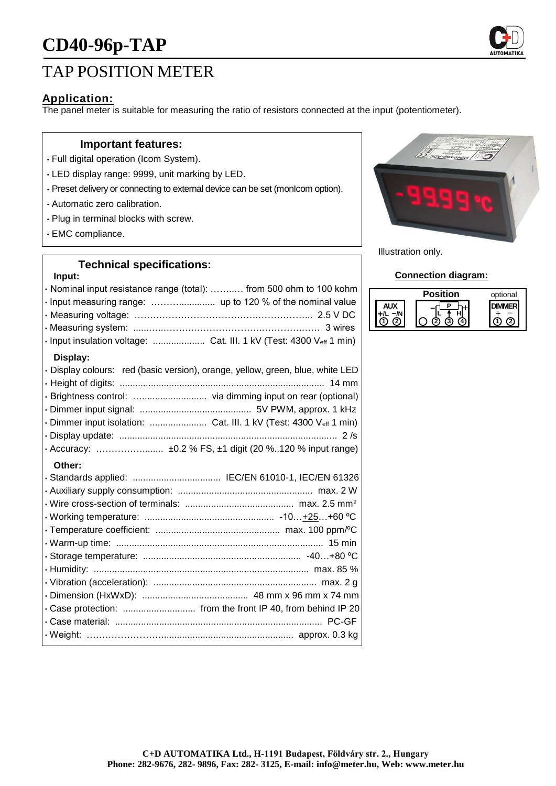# **CD40-96p-TAP**



## TAP POSITION METER

### **Application:**

The panel meter is suitable for measuring the ratio of resistors connected at the input (potentiometer).

#### **Important features:**

- Full digital operation (Icom System).
- LED display range: 9999, unit marking by LED.
- Preset delivery or connecting to external device can be set (monIcom option).
- Automatic zero calibration.
- Plug in terminal blocks with screw.
- EMC compliance.

## **Technical specifications:**

#### **Input:**

| · Nominal input resistance range (total):  from 500 ohm to 100 kohm<br>· Input measuring range:  up to 120 % of the nominal value<br>· Input insulation voltage:  Cat. III. 1 kV (Test: 4300 Veff 1 min) |
|----------------------------------------------------------------------------------------------------------------------------------------------------------------------------------------------------------|
| Display:<br>· Display colours: red (basic version), orange, yellow, green, blue, white LED                                                                                                               |
| · Dimmer input isolation:  Cat. III. 1 kV (Test: 4300 Veff 1 min)                                                                                                                                        |
| Other:                                                                                                                                                                                                   |
| · Standards applied:  IEC/EN 61010-1, IEC/EN 61326                                                                                                                                                       |
|                                                                                                                                                                                                          |
|                                                                                                                                                                                                          |
|                                                                                                                                                                                                          |
|                                                                                                                                                                                                          |
|                                                                                                                                                                                                          |
|                                                                                                                                                                                                          |
|                                                                                                                                                                                                          |
|                                                                                                                                                                                                          |
| . Case protection:  from the front IP 40, from behind IP 20                                                                                                                                              |
|                                                                                                                                                                                                          |
|                                                                                                                                                                                                          |



Illustration only.

#### **Connection diagram:**

| <b>Position</b> | optional |
|-----------------|----------|
|                 |          |